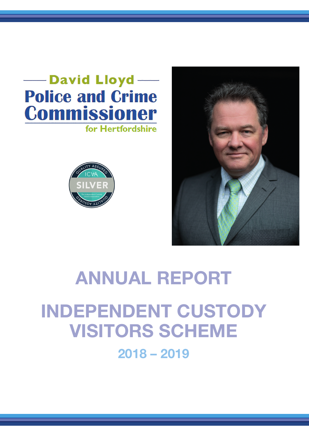### -David Lloyd **Police and Crime Commissioner** for Hertfordshire



# **ANNUAL REPORT**

**INDEPENDENT CUSTODY VISITORS SCHEME 2018 – 2019**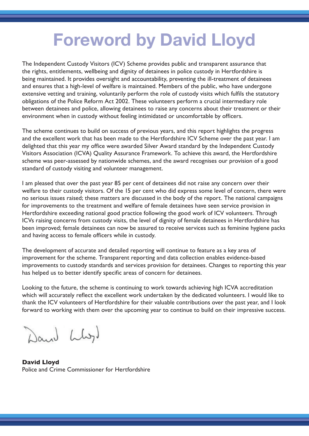## **Foreword by David Lloyd**

The Independent Custody Visitors (ICV) Scheme provides public and transparent assurance that the rights, entitlements, wellbeing and dignity of detainees in police custody in Hertfordshire is being maintained. It provides oversight and accountability, preventing the ill-treatment of detainees and ensures that a high-level of welfare is maintained. Members of the public, who have undergone extensive vetting and training, voluntarily perform the role of custody visits which fulfils the statutory obligations of the Police Reform Act 2002. These volunteers perform a crucial intermediary role between detainees and police, allowing detainees to raise any concerns about their treatment or their environment when in custody without feeling intimidated or uncomfortable by officers.

The scheme continues to build on success of previous years, and this report highlights the progress and the excellent work that has been made to the Hertfordshire ICV Scheme over the past year. I am delighted that this year my office were awarded Silver Award standard by the Independent Custody Visitors Association (ICVA) Quality Assurance Framework. To achieve this award, the Hertfordshire scheme was peer-assessed by nationwide schemes, and the award recognises our provision of a good standard of custody visiting and volunteer management.

I am pleased that over the past year 85 per cent of detainees did not raise any concern over their welfare to their custody visitors. Of the 15 per cent who did express some level of concern, there were no serious issues raised; these matters are discussed in the body of the report. The national campaigns for improvements to the treatment and welfare of female detainees have seen service provision in Hertfordshire exceeding national good practice following the good work of ICV volunteers. Through ICVs raising concerns from custody visits, the level of dignity of female detainees in Hertfordshire has been improved; female detainees can now be assured to receive services such as feminine hygiene packs and having access to female officers while in custody.

The development of accurate and detailed reporting will continue to feature as a key area of improvement for the scheme. Transparent reporting and data collection enables evidence-based improvements to custody standards and services provision for detainees. Changes to reporting this year has helped us to better identify specific areas of concern for detainees.

Looking to the future, the scheme is continuing to work towards achieving high ICVA accreditation which will accurately reflect the excellent work undertaken by the dedicated volunteers. I would like to thank the ICV volunteers of Hertfordshire for their valuable contributions over the past year, and I look forward to working with them over the upcoming year to continue to build on their impressive success.

Dani Llyl

**David Lloyd** Police and Crime Commissioner for Hertfordshire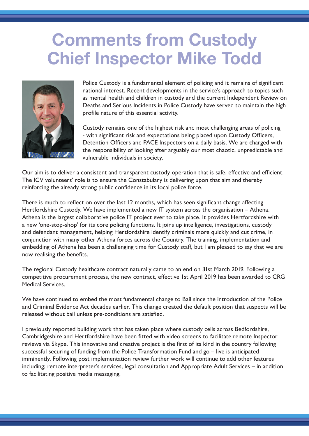## **Comments from Custody Chief Inspector Mike Todd**



Police Custody is a fundamental element of policing and it remains of significant national interest. Recent developments in the service's approach to topics such as mental health and children in custody and the current Independent Review on Deaths and Serious Incidents in Police Custody have served to maintain the high profile nature of this essential activity.

Custody remains one of the highest risk and most challenging areas of policing - with significant risk and expectations being placed upon Custody Officers, Detention Officers and PACE Inspectors on a daily basis. We are charged with the responsibility of looking after arguably our most chaotic, unpredictable and vulnerable individuals in society.

Our aim is to deliver a consistent and transparent custody operation that is safe, effective and efficient. The ICV volunteers' role is to ensure the Constabulary is delivering upon that aim and thereby reinforcing the already strong public confidence in its local police force.

There is much to reflect on over the last 12 months, which has seen significant change affecting Hertfordshire Custody. We have implemented a new IT system across the organisation – Athena. Athena is the largest collaborative police IT project ever to take place. It provides Hertfordshire with a new 'one-stop-shop' for its core policing functions. It joins up intelligence, investigations, custody and defendant management, helping Hertfordshire identify criminals more quickly and cut crime, in conjunction with many other Athena forces across the Country. The training, implementation and embedding of Athena has been a challenging time for Custody staff, but I am pleased to say that we are now realising the benefits.

The regional Custody healthcare contract naturally came to an end on 31st March 2019. Following a competitive procurement process, the new contract, effective 1st April 2019 has been awarded to CRG Medical Services.

We have continued to embed the most fundamental change to Bail since the introduction of the Police and Criminal Evidence Act decades earlier. This change created the default position that suspects will be released without bail unless pre-conditions are satisfied.

I previously reported building work that has taken place where custody cells across Bedfordshire, Cambridgeshire and Hertfordshire have been fitted with video screens to facilitate remote Inspector reviews via Skype. This innovative and creative project is the first of its kind in the country following successful securing of funding from the Police Transformation Fund and go – live is anticipated imminently. Following post implementation review further work will continue to add other features including; remote interpreter's services, legal consultation and Appropriate Adult Services – in addition to facilitating positive media messaging.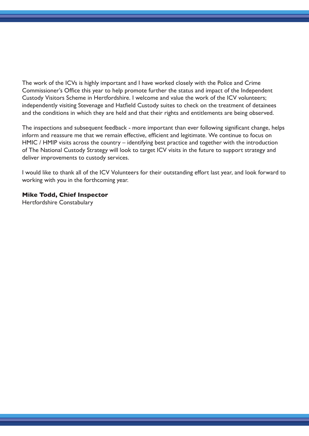The work of the ICVs is highly important and I have worked closely with the Police and Crime Commissioner's Office this year to help promote further the status and impact of the Independent Custody Visitors Scheme in Hertfordshire. I welcome and value the work of the ICV volunteers; independently visiting Stevenage and Hatfield Custody suites to check on the treatment of detainees and the conditions in which they are held and that their rights and entitlements are being observed.

The inspections and subsequent feedback - more important than ever following significant change, helps inform and reassure me that we remain effective, efficient and legitimate. We continue to focus on HMIC / HMIP visits across the country – identifying best practice and together with the introduction of The National Custody Strategy will look to target ICV visits in the future to support strategy and deliver improvements to custody services.

I would like to thank all of the ICV Volunteers for their outstanding effort last year, and look forward to working with you in the forthcoming year.

#### **Mike Todd, Chief Inspector**

Hertfordshire Constabulary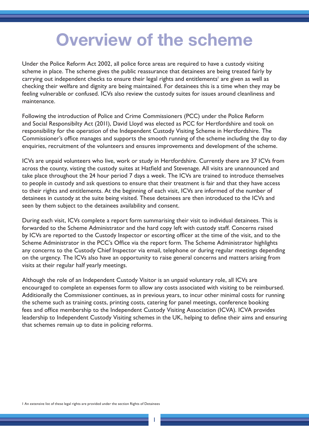## **Overview of the scheme**

Under the Police Reform Act 2002, all police force areas are required to have a custody visiting scheme in place. The scheme gives the public reassurance that detainees are being treated fairly by carrying out independent checks to ensure their legal rights and entitlements<sup>1</sup> are given as well as checking their welfare and dignity are being maintained. For detainees this is a time when they may be feeling vulnerable or confused. ICVs also review the custody suites for issues around cleanliness and maintenance.

Following the introduction of Police and Crime Commissioners (PCC) under the Police Reform and Social Responsibilty Act (2011), David Lloyd was elected as PCC for Hertfordshire and took on responsibility for the operation of the Independent Custody Visiting Scheme in Hertfordshire. The Commissioner's office manages and supports the smooth running of the scheme including the day to day enquiries, recruitment of the volunteers and ensures improvements and development of the scheme.

ICVs are unpaid volunteers who live, work or study in Hertfordshire. Currently there are 37 ICVs from across the county, visting the custody suites at Hatfield and Stevenage. All visits are unannounced and take place throughout the 24 hour period 7 days a week. The ICVs are trained to introduce themselves to people in custody and ask questions to ensure that their treatment is fair and that they have access to their rights and entitlements. At the beginning of each visit, ICVs are informed of the number of detainees in custody at the suite being visited. These detainees are then introduced to the ICVs and seen by them subject to the detainees availability and consent.

During each visit, ICVs complete a report form summarising their visit to individual detainees. This is forwarded to the Scheme Administrator and the hard copy left with custody staff. Concerns raised by ICVs are reported to the Custody Inspector or escorting officer at the time of the visit, and to the Scheme Administrator in the PCC's Office via the report form. The Scheme Administrator highlights any concerns to the Custody Chief Inspector via email, telephone or during regular meetings depending on the urgency. The ICVs also have an opportunity to raise general concerns and matters arising from visits at their regular half yearly meetings.

Although the role of an Independent Custody Visitor is an unpaid voluntary role, all ICVs are encouraged to complete an expenses form to allow any costs associated with visiting to be reimbursed. Additionally the Commissioner continues, as in previous years, to incur other minimal costs for running the scheme such as training costs, printing costs, catering for panel meetings, conference booking fees and office membership to the Independent Custody Visiting Association (ICVA). ICVA provides leadership to Independent Custody Visiting schemes in the UK, helping to define their aims and ensuring that schemes remain up to date in policing reforms.

1

1 An extensive list of these legal rights are provided under the section Rights of Detainees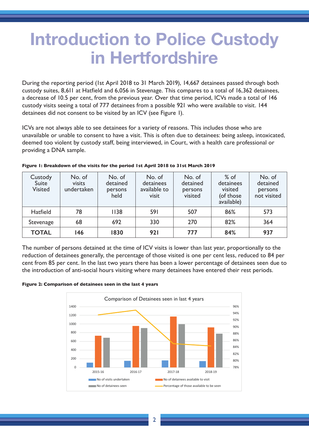## **Introduction to Police Custody in Hertfordshire**

During the reporting period (1st April 2018 to 31 March 2019), 14,667 detainees passed through both custody suites, 8,611 at Hatfield and 6,056 in Stevenage. This compares to a total of 16,362 detainees, a decrease of 10.5 per cent, from the previous year. Over that time period, ICVs made a total of 146 custody visits seeing a total of 777 detainees from a possible 921 who were available to visit. 144 detainees did not consent to be visited by an ICV (see Figure 1).

ICVs are not always able to see detainees for a variety of reasons. This includes those who are unavailable or unable to consent to have a visit. This is often due to detainees: being asleep, intoxicated, deemed too violent by custody staff, being interviewed, in Court, with a health care professional or providing a DNA sample.

| Custody<br>Suite<br><b>Visited</b> | No. of<br>visits<br>undertaken | No. of<br>detained<br>persons<br>held | No. of<br>detainees<br>available to<br>visit | No. of<br>detained<br>persons<br>visited | $%$ of<br>detainees<br>visited<br>(of those<br>available) | No. of<br>detained<br>persons<br>not visited |
|------------------------------------|--------------------------------|---------------------------------------|----------------------------------------------|------------------------------------------|-----------------------------------------------------------|----------------------------------------------|
| <b>Hatfield</b>                    | 78                             | 1138                                  | 591                                          | 507                                      | 86%                                                       | 573                                          |
| Stevenage                          | 68                             | 692                                   | 330                                          | 270                                      | 82%                                                       | 364                                          |
| <b>TOTAL</b>                       | 146                            | 1830                                  | 921                                          | 777                                      | 84%                                                       | 937                                          |

#### **Figure 1: Breakdown of the visits for the period 1st April 2018 to 31st March 2019**

The number of persons detained at the time of ICV visits is lower than last year, proportionally to the reduction of detainees generally, the percentage of those visited is one per cent less, reduced to 84 per cent from 85 per cent. In the last two years there has been a lower percentage of detainees seen due to the introduction of anti-social hours visiting where many detainees have entered their rest periods.

#### **Figure 2: Comparison of detainees seen in the last 4 years**



male volunteers and  $42\%$  female volunteers. The demographic of our ICVs show that they icelled that they icelled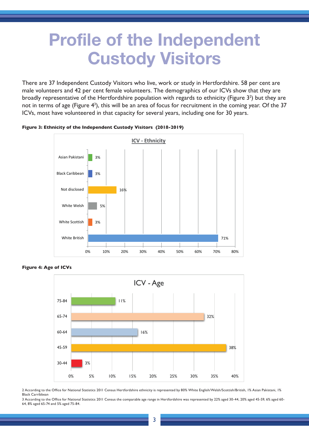### **Profile of the Independent Custody Visitors**

There are 37 Independent Custody Visitors who live, work or study in Hertfordshire. 58 per cent are male volunteers and 42 per cent female volunteers. The demographics of our ICVs show that they are broadly representative of the Hertfordshire population with regards to ethnicity (Figure  $3<sup>2</sup>$ ) but they are not in terms of age (Figure 4<sup>3</sup>), this will be an area of focus for recruitment in the coming year. Of the 37 ICVs, most have volunteered in that capacity for several years, including one for 30 years.



**Figure 3: Ethnicity of the Independent Custody Visitors (2018-2019)**



**Figure 4: Age of ICVs**

2 According to the Office for National Statistics 2011 Census Hertfordshire ethnicity is represented by 80% White English/Welsh/Scottish/British, 1% Asian Pakistani, 1% Black Carribbean

**Matters arising from custody visits**  64, 8% aged 65-74 and 5% aged 75-84. 3 According to the Office for National Statistics 2011 Census the comparable age range in Hertfordshire was represented by 22% aged 30-44, 20% aged 45-59, 6% aged 60-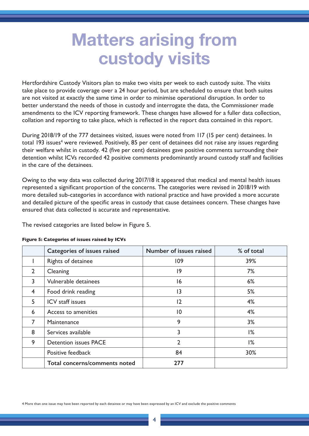## **Matters arising from custody visits**

Hertfordshire Custody Visitors plan to make two visits per week to each custody suite. The visits take place to provide coverage over a 24 hour period, but are scheduled to ensure that both suites are not visited at exactly the same time in order to minimise operational disruption. In order to better understand the needs of those in custody and interrogate the data, the Commissioner made amendments to the ICV reporting framework. These changes have allowed for a fuller data collection, collation and reporting to take place, which is reflected in the report data contained in this report.

During 2018/19 of the 777 detainees visited, issues were noted from 117 (15 per cent) detainees. In total 193 issues<sup>4</sup> were reviewed. Positively, 85 per cent of detainees did not raise any issues regarding their welfare whilst in custody. 42 (five per cent) detainees gave positive comments surrounding their detention whilst ICVs recorded 42 positive comments predominantly around custody staff and facilities in the care of the detainees.

Owing to the way data was collected during 2017/18 it appeared that medical and mental health issues represented a significant proportion of the concerns. The categories were revised in 2018/19 with more detailed sub-categories in accordance with national practice and have provided a more accurate and detailed picture of the specific areas in custody that cause detainees concern. These changes have ensured that data collected is accurate and representative.

The revised categories are listed below in Figure 5.

|                | <b>Categories of issues raised</b> | Number of issues raised | % of total |
|----------------|------------------------------------|-------------------------|------------|
|                | Rights of detainee                 | 109                     | 39%        |
| $\overline{2}$ | Cleaning                           | 9                       | 7%         |
| 3              | Vulnerable detainees               | 16                      | 6%         |
| $\overline{4}$ | Food drink reading                 | $\overline{13}$         | 5%         |
| 5              | ICV staff issues                   | 12                      | 4%         |
| 6              | Access to amenities                | $\overline{10}$         | 4%         |
| $\overline{7}$ | Maintenance                        | 9                       | 3%         |
| 8              | Services available                 | 3                       | 1%         |
| 9              | <b>Detention issues PACE</b>       | $\overline{2}$          | 1%         |
|                | Positive feedback                  | 84                      | 30%        |
|                | Total concerns/comments noted      | 277                     |            |

#### **Figure 5: Categories of issues raised by ICVs**

4 More than one issue may have been reported by each detainee or may have been expressed by an ICV and exclude the positive comments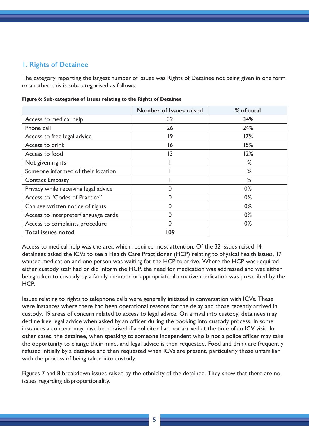### **1. Rights of Detainee**

The category reporting the largest number of issues was Rights of Detainee not being given in one form or another, this is sub-categorised as follows:

|                                      | Number of Issues raised | % of total |
|--------------------------------------|-------------------------|------------|
| Access to medical help               | 32                      | 34%        |
| Phone call                           | 26                      | 24%        |
| Access to free legal advice          | 9                       | 17%        |
| Access to drink                      | 16                      | 15%        |
| Access to food                       | 13                      | 12%        |
| Not given rights                     |                         | 1%         |
| Someone informed of their location   |                         | 1%         |
| <b>Contact Embassy</b>               |                         | 1%         |
| Privacy while receiving legal advice | 0                       | 0%         |
| Access to "Codes of Practice"        | O                       | 0%         |
| Can see written notice of rights     | U                       | $0\%$      |
| Access to interpreter/language cards | U                       | $0\%$      |
| Access to complaints procedure       | 0                       | $0\%$      |
| <b>Total issues noted</b>            | 109                     |            |

**Figure 6: Sub-categories of issues relating to the Rights of Detainee**

Access to medical help was the area which required most attention. Of the 32 issues raised 14 detainees asked the ICVs to see a Health Care Practitioner (HCP) relating to physical health issues, 17 wanted medication and one person was waiting for the HCP to arrive. Where the HCP was required either custody staff had or did inform the HCP, the need for medication was addressed and was either being taken to custody by a family member or appropriate alternative medication was prescribed by the HCP.

Issues relating to rights to telephone calls were generally initiated in conversation with ICVs. These were instances where there had been operational reasons for the delay and those recently arrived in custody. 19 areas of concern related to access to legal advice. On arrival into custody, detainees may decline free legal advice when asked by an officer during the booking into custody process. In some instances a concern may have been raised if a solicitor had not arrived at the time of an ICV visit. In other cases, the detainee, when speaking to someone independent who is not a police officer may take the opportunity to change their mind, and legal advice is then requested. Food and drink are frequently refused initially by a detainee and then requested when ICVs are present, particularly those unfamiliar with the process of being taken into custody.

Figures 7 and 8 breakdown issues raised by the ethnicity of the detainee. They show that there are no issues regarding disproportionality.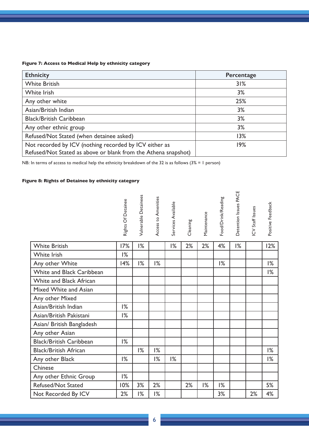#### **Figure 7: Access to Medical Help by ethnicity category**

| <b>Ethnicity</b>                                                                                                         | Percentage |
|--------------------------------------------------------------------------------------------------------------------------|------------|
| <b>White British</b>                                                                                                     | 31%        |
| White Irish                                                                                                              | 3%         |
| Any other white                                                                                                          | 25%        |
| Asian/British Indian                                                                                                     | 3%         |
| <b>Black/British Caribbean</b>                                                                                           | 3%         |
| Any other ethnic group                                                                                                   | 3%         |
| Refused/Not Stated (when detainee asked)                                                                                 | 13%        |
| Not recorded by ICV (nothing recorded by ICV either as<br>Refused/Not Stated as above or blank from the Athena snapshot) | 19%        |

NB: In terms of access to medical help the ethnicity breakdown of the 32 is as follows (3% = 1 person)

#### **Figure 8: Rights of Detainee by ethnicity category**

|                                | Rights Of Detainee | Vulnerable Detainees | Access to Amenities | Services Available | Cleaning | Maintenance | Food/Drink/Reading | Detention Issues PACE | ICV Staff Issues | Positive Feedback |
|--------------------------------|--------------------|----------------------|---------------------|--------------------|----------|-------------|--------------------|-----------------------|------------------|-------------------|
| <b>White British</b>           | 17%                | $1\%$                |                     | $1\%$              | 2%       | 2%          | 4%                 | 1%                    |                  | 12%               |
| White Irish                    | 1%                 |                      |                     |                    |          |             |                    |                       |                  |                   |
| Any other White                | 14%                | 1%                   | 1%                  |                    |          |             | 1%                 |                       |                  | 1%                |
| White and Black Caribbean      |                    |                      |                     |                    |          |             |                    |                       |                  | 1%                |
| <b>White and Black African</b> |                    |                      |                     |                    |          |             |                    |                       |                  |                   |
| Mixed White and Asian          |                    |                      |                     |                    |          |             |                    |                       |                  |                   |
| Any other Mixed                |                    |                      |                     |                    |          |             |                    |                       |                  |                   |
| Asian/British Indian           | 1%                 |                      |                     |                    |          |             |                    |                       |                  |                   |
| Asian/British Pakistani        | 1%                 |                      |                     |                    |          |             |                    |                       |                  |                   |
| Asian/ British Bangladesh      |                    |                      |                     |                    |          |             |                    |                       |                  |                   |
| Any other Asian                |                    |                      |                     |                    |          |             |                    |                       |                  |                   |
| <b>Black/British Caribbean</b> | 1%                 |                      |                     |                    |          |             |                    |                       |                  |                   |
| <b>Black/British African</b>   |                    | 1%                   | 1%                  |                    |          |             |                    |                       |                  | 1%                |
| Any other Black                | 1%                 |                      | 1%                  | $\frac{9}{6}$      |          |             |                    |                       |                  | 1%                |
| Chinese                        |                    |                      |                     |                    |          |             |                    |                       |                  |                   |
| Any other Ethnic Group         | 1%                 |                      |                     |                    |          |             |                    |                       |                  |                   |
| <b>Refused/Not Stated</b>      | 10%                | 3%                   | 2%                  |                    | 2%       | 1%          | $1\%$              |                       |                  | 5%                |
| Not Recorded By ICV            | 2%                 | 1%                   | $1\%$               |                    |          |             | 3%                 |                       | 2%               | 4%                |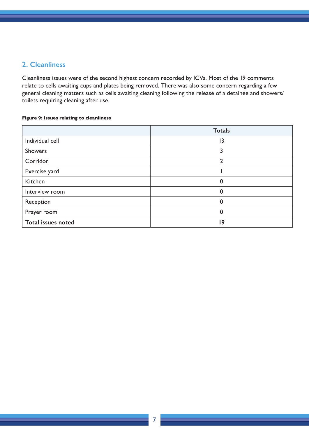#### **2. Cleanliness**

Cleanliness issues were of the second highest concern recorded by ICVs. Most of the 19 comments relate to cells awaiting cups and plates being removed. There was also some concern regarding a few general cleaning matters such as cells awaiting cleaning following the release of a detainee and showers/ toilets requiring cleaning after use.

#### **Figure 9: Issues relating to cleanliness**

|                           | <b>Totals</b> |
|---------------------------|---------------|
| Individual cell           | 13            |
| Showers                   |               |
| Corridor                  |               |
| Exercise yard             |               |
| Kitchen                   | 0             |
| Interview room            | O             |
| Reception                 | 0             |
| Prayer room               | 0             |
| <b>Total issues noted</b> | 9             |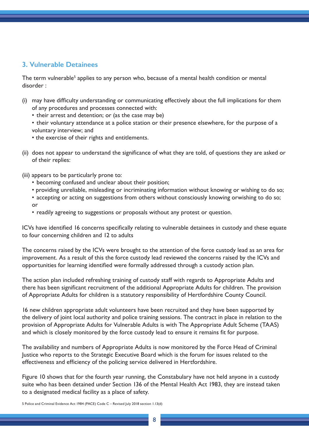### **3. Vulnerable Detainees**

The term vulnerable<sup>5</sup> applies to any person who, because of a mental health condition or mental disorder :

- (i) may have difficulty understanding or communicating effectively about the full implications for them of any procedures and processes connected with:
	- their arrest and detention; or (as the case may be)
	- their voluntary attendance at a police station or their presence elsewhere, for the purpose of a voluntary interview; and
	- the exercise of their rights and entitlements.
- (ii) does not appear to understand the significance of what they are told, of questions they are asked or of their replies:
- (iii) appears to be particularly prone to:
	- becoming confused and unclear about their position;
	- providing unreliable, misleading or incriminating information without knowing or wishing to do so;
	- accepting or acting on suggestions from others without consciously knowing orwishing to do so; or
	- readily agreeing to suggestions or proposals without any protest or question.

ICVs have identified 16 concerns specifically relating to vulnerable detainees in custody and these equate to four concerning children and 12 to adults

The concerns raised by the ICVs were brought to the attention of the force custody lead as an area for improvement. As a result of this the force custody lead reviewed the concerns raised by the ICVs and opportunities for learning identified were formally addressed through a custody action plan.

The action plan included refreshing training of custody staff with regards to Appropriate Adults and there has been significant recruitment of the additional Appropriate Adults for children. The provision of Appropriate Adults for children is a statutory responsibility of Hertfordshire County Council.

16 new children appropriate adult volunteers have been recruited and they have been supported by the delivery of joint local authority and police training sessions. The contract in place in relation to the provision of Appropriate Adults for Vulnerable Adults is with The Appropriate Adult Scheme (TAAS) and which is closely monitored by the force custody lead to ensure it remains fit for purpose.

The availability and numbers of Appropriate Adults is now monitored by the Force Head of Criminal Justice who reports to the Strategic Executive Board which is the forum for issues related to the effectiveness and efficiency of the policing service delivered in Hertfordshire.

Figure 10 shows that for the fourth year running, the Constabulary have not held anyone in a custody suite who has been detained under Section 136 of the Mental Health Act 1983, they are instead taken to a designated medical facility as a place of safety.

5 Police and Criminal Evidence Act 1984 (PACE) Code C – Revised July 2018 section 1.13(d)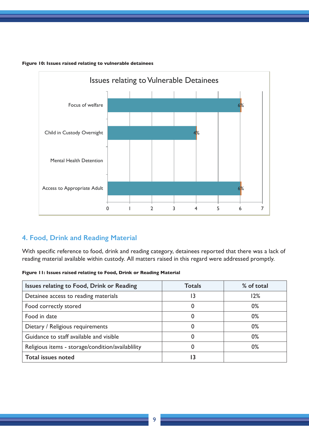

 $\mathcal{P}(\mathcal{P}(\mathcal{P}(\mathcal{P}(\mathcal{P}(\mathcal{P}(\mathcal{P}(\mathcal{P}(\mathcal{P}(\mathcal{P}(\mathcal{P}(\mathcal{P}(\mathcal{P}(\mathcal{P}(\mathcal{P}(\mathcal{P}(\mathcal{P}(\mathcal{P}(\mathcal{P}(\mathcal{P}(\mathcal{P}(\mathcal{P}(\mathcal{P}(\mathcal{P}(\mathcal{P}(\mathcal{P}(\mathcal{P}(\mathcal{P}(\mathcal{P}(\mathcal{P}(\mathcal{P}(\mathcal{P}(\mathcal{P}(\mathcal{P}(\mathcal{P}(\mathcal{P}(\mathcal{$ 

**Figure 10: Issues raised relating to vulnerable detainees**

or wishing to do so;

### **4. Food, Drink and Reading Material**

With specific reference to food, drink and reading category, detainees reported that there was a lack of reading material available within custody. All matters raised in this regard were addressed promptly.

| Figure 11: Issues raised relating to Food, Drink or Reading Material |  |
|----------------------------------------------------------------------|--|
|                                                                      |  |

| Issues relating to Food, Drink or Reading         | Totals | % of total |
|---------------------------------------------------|--------|------------|
| Detainee access to reading materials              | 13     | 12%        |
| Food correctly stored                             |        | $0\%$      |
| Food in date                                      | O      | 0%         |
| Dietary / Religious requirements                  |        | $0\%$      |
| Guidance to staff available and visible           | 0      | 0%         |
| Religious items - storage/condition/availablility |        | $0\%$      |
| <b>Total issues noted</b>                         |        |            |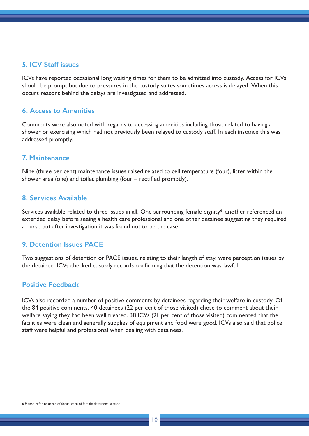#### **5. ICV Staff issues**

ICVs have reported occasional long waiting times for them to be admitted into custody. Access for ICVs should be prompt but due to pressures in the custody suites sometimes access is delayed. When this occurs reasons behind the delays are investigated and addressed.

#### **6. Access to Amenities**

Comments were also noted with regards to accessing amenities including those related to having a shower or exercising which had not previously been relayed to custody staff. In each instance this was addressed promptly.

#### **7. Maintenance**

Nine (three per cent) maintenance issues raised related to cell temperature (four), litter within the shower area (one) and toilet plumbing (four – rectified promptly).

#### **8. Services Available**

Services available related to three issues in all. One surrounding female dignity<sup>6</sup>, another referenced an extended delay before seeing a health care professional and one other detainee suggesting they required a nurse but after investigation it was found not to be the case.

#### **9. Detention Issues PACE**

Two suggestions of detention or PACE issues, relating to their length of stay, were perception issues by the detainee. ICVs checked custody records confirming that the detention was lawful.

#### **Positive Feedback**

ICVs also recorded a number of positive comments by detainees regarding their welfare in custody. Of the 84 positive comments, 40 detainees (22 per cent of those visited) chose to comment about their welfare saying they had been well treated. 38 ICVs (21 per cent of those visited) commented that the facilities were clean and generally supplies of equipment and food were good. ICVs also said that police staff were helpful and professional when dealing with detainees.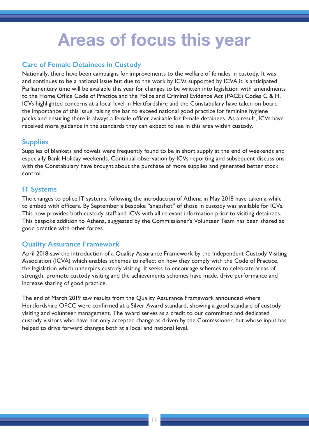## **Areas of focus this year**

### **Care of Female Detainees in Custody**

Nationally, there have been campaigns for improvements to the welfare of females in custody. It was and continues to be a national issue but due to the work by ICVs supported by ICVA it is anticipated Parliamentary time will be available this year for changes to be written into legislation with amendments to the Home Office Code of Practice and the Police and Criminal Evidence Act (PACE) Codes C & H. ICVs highlighted concerns at a local level in Hertfordshire and the Constabulary have taken on board the importance of this issue raising the bar to exceed national good practice for feminine hygiene packs and ensuring there is always a female officer available for female detainees. As a result, ICVs have received more guidance in the standards they can expect to see in this area within custody.

### **Supplies**

Supplies of blankets and towels were frequently found to be in short supply at the end of weekends and especially Bank Holiday weekends. Continual observation by ICVs reporting and subsequent discussions with the Constabulary have brought about the purchase of more supplies and generated better stock control.

### **IT Systems**

The changes to police IT systems, following the introduction of Athena in May 2018 have taken a while to embed with officers. By September a bespoke "snapshot" of those in custody was available for ICVs. This now provides both custody staff and ICVs with all relevant information prior to visiting detainees. This bespoke addition to Athena, suggested by the Commissioner's Volunteer Team has been shared as good practice with other forces.

### **Quality Assurance Framework**

April 2018 saw the introduction of a Quality Assurance Framework by the Independent Custody Visiting Association (ICVA) which enables schemes to reflect on how they comply with the Code of Practice, the legislation which underpins custody visiting. It seeks to encourage schemes to celebrate areas of strength, promote custody visiting and the achievements schemes have made, drive performance and increase sharing of good practice.

The end of March 2019 saw results from the Quality Assurance Framework announced where Hertfordshire OPCC were confirmed at a Silver Award standard, showing a good standard of custody visiting and volunteer management. The award serves as a credit to our committed and dedicated custody visitors who have not only accepted change as driven by the Commssioner, but whose input has helped to drive forward changes both at a local and national level.